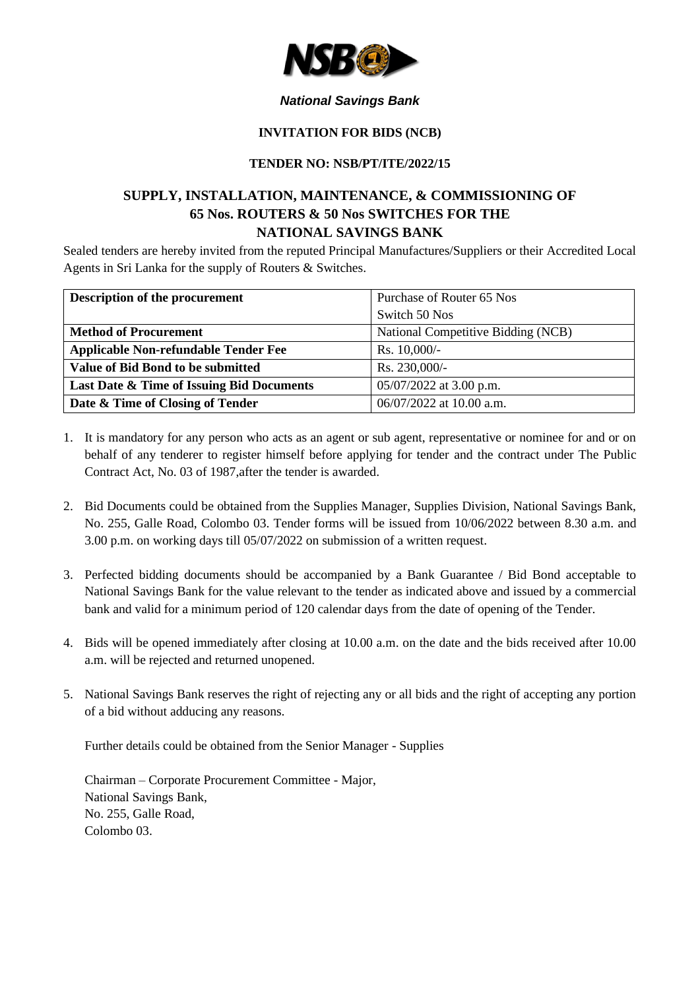

### *National Savings Bank*

#### **INVITATION FOR BIDS (NCB)**

#### **TENDER NO: NSB/PT/ITE/2022/15**

# **SUPPLY, INSTALLATION, MAINTENANCE, & COMMISSIONING OF 65 Nos. ROUTERS & 50 Nos SWITCHES FOR THE NATIONAL SAVINGS BANK**

Sealed tenders are hereby invited from the reputed Principal Manufactures/Suppliers or their Accredited Local Agents in Sri Lanka for the supply of Routers & Switches.

| Description of the procurement              | Purchase of Router 65 Nos          |
|---------------------------------------------|------------------------------------|
|                                             | Switch 50 Nos                      |
| <b>Method of Procurement</b>                | National Competitive Bidding (NCB) |
| <b>Applicable Non-refundable Tender Fee</b> | Rs. $10,000/-$                     |
| Value of Bid Bond to be submitted           | Rs. 230,000/-                      |
| Last Date & Time of Issuing Bid Documents   | $05/07/2022$ at 3.00 p.m.          |
| Date & Time of Closing of Tender            | 06/07/2022 at 10.00 a.m.           |

- 1. It is mandatory for any person who acts as an agent or sub agent, representative or nominee for and or on behalf of any tenderer to register himself before applying for tender and the contract under The Public Contract Act, No. 03 of 1987,after the tender is awarded.
- 2. Bid Documents could be obtained from the Supplies Manager, Supplies Division, National Savings Bank, No. 255, Galle Road, Colombo 03. Tender forms will be issued from 10/06/2022 between 8.30 a.m. and 3.00 p.m. on working days till 05/07/2022 on submission of a written request.
- 3. Perfected bidding documents should be accompanied by a Bank Guarantee / Bid Bond acceptable to National Savings Bank for the value relevant to the tender as indicated above and issued by a commercial bank and valid for a minimum period of 120 calendar days from the date of opening of the Tender.
- 4. Bids will be opened immediately after closing at 10.00 a.m. on the date and the bids received after 10.00 a.m. will be rejected and returned unopened.
- 5. National Savings Bank reserves the right of rejecting any or all bids and the right of accepting any portion of a bid without adducing any reasons.

Further details could be obtained from the Senior Manager - Supplies

Chairman – Corporate Procurement Committee - Major, National Savings Bank, No. 255, Galle Road, Colombo 03.